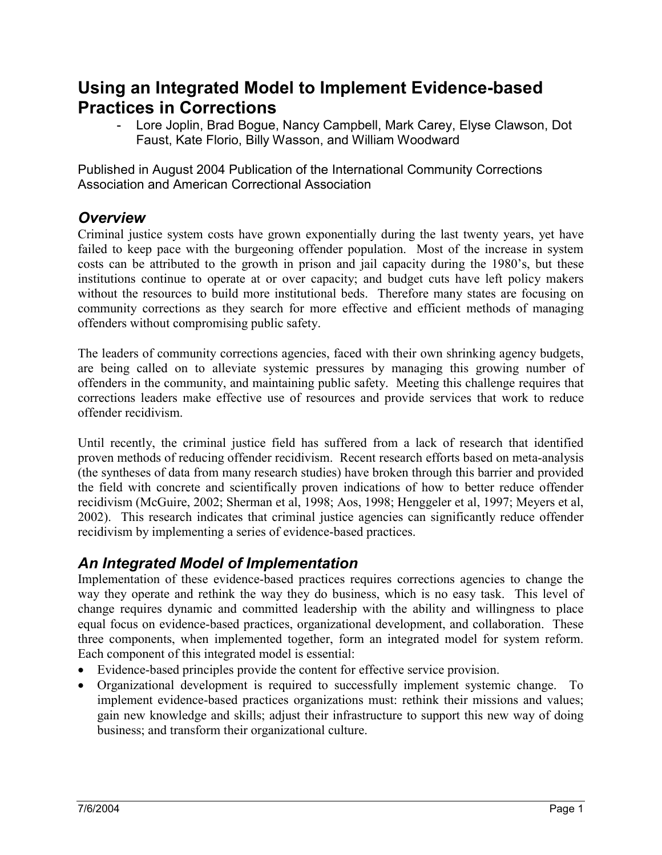# **Using an Integrated Model to Implement Evidence-based Practices in Corrections**

- Lore Joplin, Brad Bogue, Nancy Campbell, Mark Carey, Elyse Clawson, Dot Faust, Kate Florio, Billy Wasson, and William Woodward

Published in August 2004 Publication of the International Community Corrections Association and American Correctional Association

# *Overview*

Criminal justice system costs have grown exponentially during the last twenty years, yet have failed to keep pace with the burgeoning offender population. Most of the increase in system costs can be attributed to the growth in prison and jail capacity during the 1980's, but these institutions continue to operate at or over capacity; and budget cuts have left policy makers without the resources to build more institutional beds. Therefore many states are focusing on community corrections as they search for more effective and efficient methods of managing offenders without compromising public safety.

The leaders of community corrections agencies, faced with their own shrinking agency budgets, are being called on to alleviate systemic pressures by managing this growing number of offenders in the community, and maintaining public safety. Meeting this challenge requires that corrections leaders make effective use of resources and provide services that work to reduce offender recidivism.

Until recently, the criminal justice field has suffered from a lack of research that identified proven methods of reducing offender recidivism. Recent research efforts based on meta-analysis (the syntheses of data from many research studies) have broken through this barrier and provided the field with concrete and scientifically proven indications of how to better reduce offender recidivism (McGuire, 2002; Sherman et al, 1998; Aos, 1998; Henggeler et al, 1997; Meyers et al, 2002). This research indicates that criminal justice agencies can significantly reduce offender recidivism by implementing a series of evidence-based practices.

# *An Integrated Model of Implementation*

Implementation of these evidence-based practices requires corrections agencies to change the way they operate and rethink the way they do business, which is no easy task. This level of change requires dynamic and committed leadership with the ability and willingness to place equal focus on evidence-based practices, organizational development, and collaboration. These three components, when implemented together, form an integrated model for system reform. Each component of this integrated model is essential:

- Evidence-based principles provide the content for effective service provision.
- Organizational development is required to successfully implement systemic change. To implement evidence-based practices organizations must: rethink their missions and values; gain new knowledge and skills; adjust their infrastructure to support this new way of doing business; and transform their organizational culture.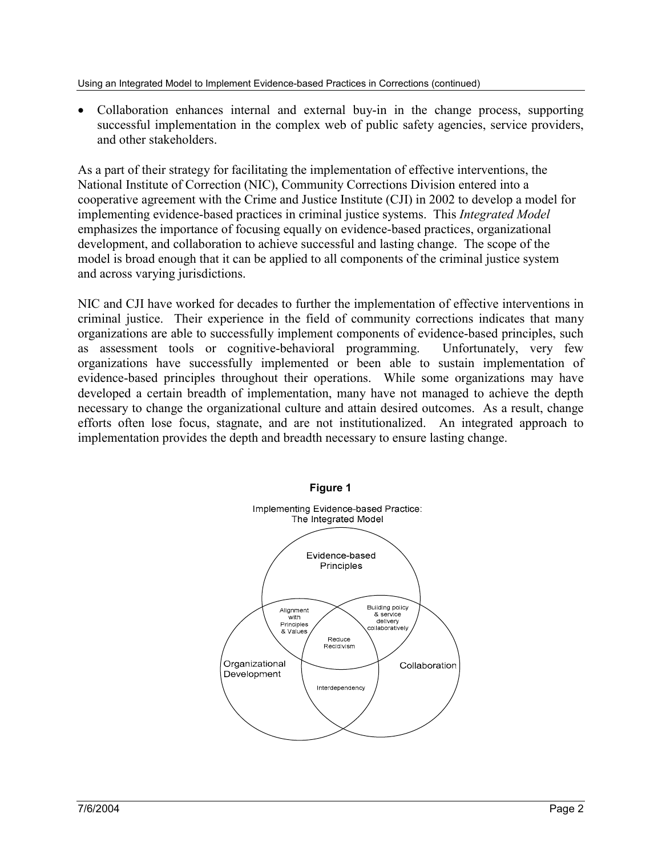Using an Integrated Model to Implement Evidence-based Practices in Corrections (continued)

• Collaboration enhances internal and external buy-in in the change process, supporting successful implementation in the complex web of public safety agencies, service providers, and other stakeholders.

As a part of their strategy for facilitating the implementation of effective interventions, the National Institute of Correction (NIC), Community Corrections Division entered into a cooperative agreement with the Crime and Justice Institute (CJI) in 2002 to develop a model for implementing evidence-based practices in criminal justice systems. This *Integrated Model* emphasizes the importance of focusing equally on evidence-based practices, organizational development, and collaboration to achieve successful and lasting change. The scope of the model is broad enough that it can be applied to all components of the criminal justice system and across varying jurisdictions.

NIC and CJI have worked for decades to further the implementation of effective interventions in criminal justice. Their experience in the field of community corrections indicates that many organizations are able to successfully implement components of evidence-based principles, such as assessment tools or cognitive-behavioral programming. Unfortunately, very few organizations have successfully implemented or been able to sustain implementation of evidence-based principles throughout their operations. While some organizations may have developed a certain breadth of implementation, many have not managed to achieve the depth necessary to change the organizational culture and attain desired outcomes. As a result, change efforts often lose focus, stagnate, and are not institutionalized. An integrated approach to implementation provides the depth and breadth necessary to ensure lasting change.

**Figure 1** 

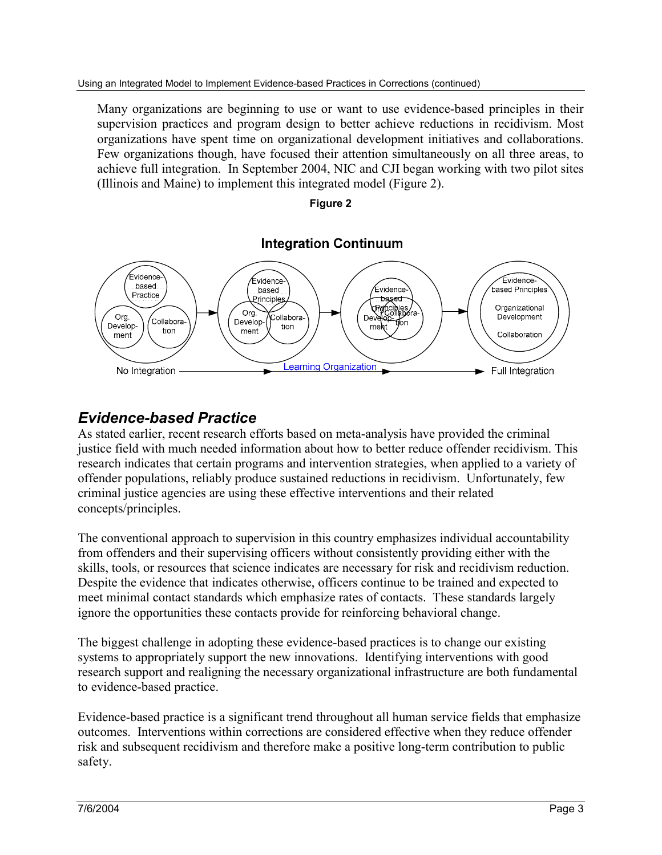Many organizations are beginning to use or want to use evidence-based principles in their supervision practices and program design to better achieve reductions in recidivism. Most organizations have spent time on organizational development initiatives and collaborations. Few organizations though, have focused their attention simultaneously on all three areas, to achieve full integration. In September 2004, NIC and CJI began working with two pilot sites (Illinois and Maine) to implement this integrated model (Figure 2).

#### **Figure 2**



# *Evidence-based Practice*

As stated earlier, recent research efforts based on meta-analysis have provided the criminal justice field with much needed information about how to better reduce offender recidivism. This research indicates that certain programs and intervention strategies, when applied to a variety of offender populations, reliably produce sustained reductions in recidivism. Unfortunately, few criminal justice agencies are using these effective interventions and their related concepts/principles.

The conventional approach to supervision in this country emphasizes individual accountability from offenders and their supervising officers without consistently providing either with the skills, tools, or resources that science indicates are necessary for risk and recidivism reduction. Despite the evidence that indicates otherwise, officers continue to be trained and expected to meet minimal contact standards which emphasize rates of contacts. These standards largely ignore the opportunities these contacts provide for reinforcing behavioral change.

The biggest challenge in adopting these evidence-based practices is to change our existing systems to appropriately support the new innovations. Identifying interventions with good research support and realigning the necessary organizational infrastructure are both fundamental to evidence-based practice.

Evidence-based practice is a significant trend throughout all human service fields that emphasize outcomes. Interventions within corrections are considered effective when they reduce offender risk and subsequent recidivism and therefore make a positive long-term contribution to public safety.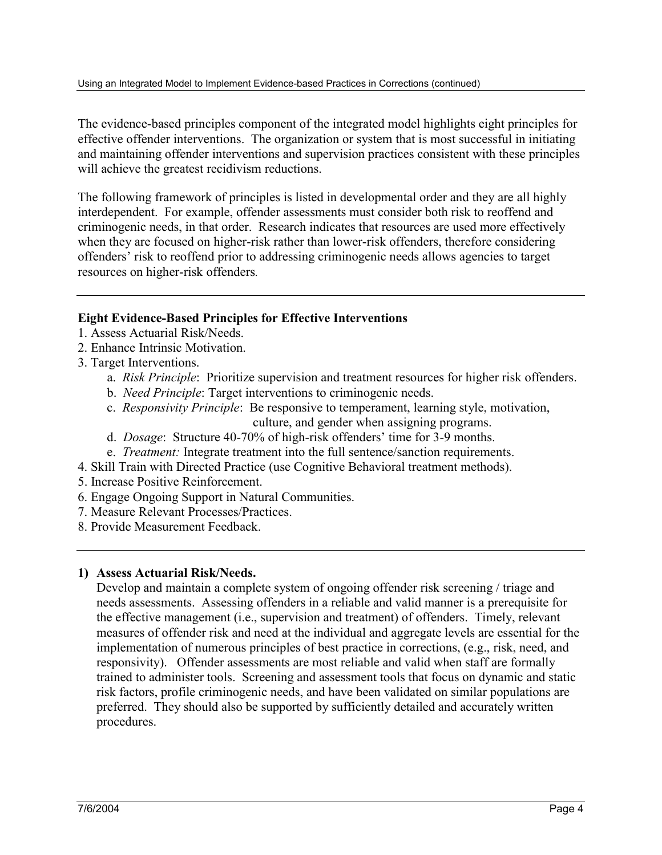The evidence-based principles component of the integrated model highlights eight principles for effective offender interventions. The organization or system that is most successful in initiating and maintaining offender interventions and supervision practices consistent with these principles will achieve the greatest recidivism reductions.

The following framework of principles is listed in developmental order and they are all highly interdependent. For example, offender assessments must consider both risk to reoffend and criminogenic needs, in that order. Research indicates that resources are used more effectively when they are focused on higher-risk rather than lower-risk offenders, therefore considering offenders' risk to reoffend prior to addressing criminogenic needs allows agencies to target resources on higher-risk offenders*.* 

#### **Eight Evidence-Based Principles for Effective Interventions**

- 1. Assess Actuarial Risk/Needs.
- 2. Enhance Intrinsic Motivation.
- 3. Target Interventions.
	- a. *Risk Principle*: Prioritize supervision and treatment resources for higher risk offenders.
	- b. *Need Principle*: Target interventions to criminogenic needs.
	- c. *Responsivity Principle*: Be responsive to temperament, learning style, motivation,
		- culture, and gender when assigning programs.
	- d. *Dosage*: Structure 40-70% of high-risk offenders' time for 3-9 months.
	- e. *Treatment:* Integrate treatment into the full sentence/sanction requirements.
- 4. Skill Train with Directed Practice (use Cognitive Behavioral treatment methods).
- 5. Increase Positive Reinforcement.
- 6. Engage Ongoing Support in Natural Communities.
- 7. Measure Relevant Processes/Practices.
- 8. Provide Measurement Feedback.

#### **1) Assess Actuarial Risk/Needs.**

 Develop and maintain a complete system of ongoing offender risk screening / triage and needs assessments. Assessing offenders in a reliable and valid manner is a prerequisite for the effective management (i.e., supervision and treatment) of offenders. Timely, relevant measures of offender risk and need at the individual and aggregate levels are essential for the implementation of numerous principles of best practice in corrections, (e.g., risk, need, and responsivity). Offender assessments are most reliable and valid when staff are formally trained to administer tools. Screening and assessment tools that focus on dynamic and static risk factors, profile criminogenic needs, and have been validated on similar populations are preferred. They should also be supported by sufficiently detailed and accurately written procedures.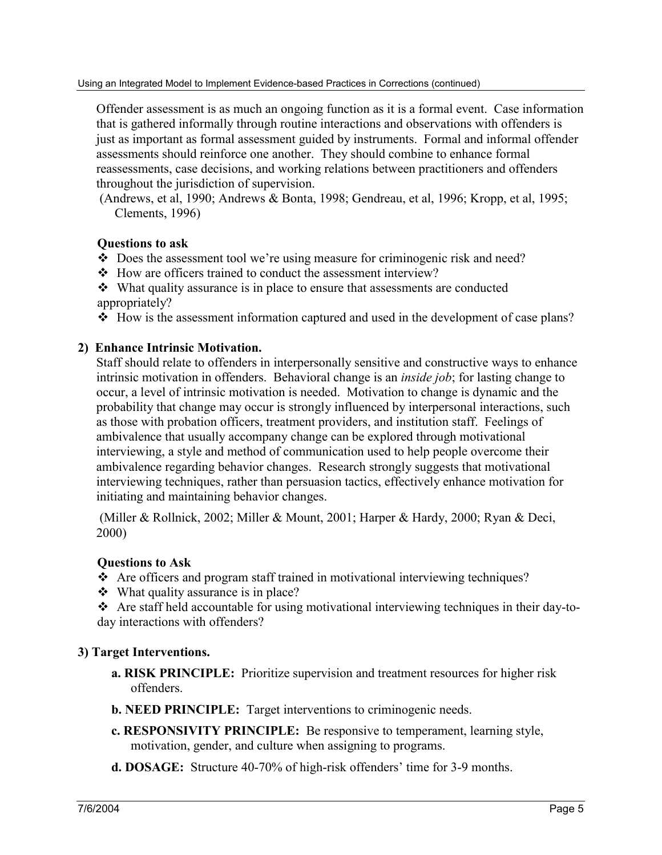Offender assessment is as much an ongoing function as it is a formal event. Case information that is gathered informally through routine interactions and observations with offenders is just as important as formal assessment guided by instruments. Formal and informal offender assessments should reinforce one another. They should combine to enhance formal reassessments, case decisions, and working relations between practitioners and offenders throughout the jurisdiction of supervision.

 (Andrews, et al, 1990; Andrews & Bonta, 1998; Gendreau, et al, 1996; Kropp, et al, 1995; Clements, 1996)

### **Questions to ask**

- Does the assessment tool we're using measure for criminogenic risk and need?
- $\triangle$  How are officers trained to conduct the assessment interview?
- $\div$  What quality assurance is in place to ensure that assessments are conducted appropriately?
- $\div$  How is the assessment information captured and used in the development of case plans?

### **2) Enhance Intrinsic Motivation.**

 Staff should relate to offenders in interpersonally sensitive and constructive ways to enhance intrinsic motivation in offenders. Behavioral change is an *inside job*; for lasting change to occur, a level of intrinsic motivation is needed. Motivation to change is dynamic and the probability that change may occur is strongly influenced by interpersonal interactions, such as those with probation officers, treatment providers, and institution staff. Feelings of ambivalence that usually accompany change can be explored through motivational interviewing, a style and method of communication used to help people overcome their ambivalence regarding behavior changes. Research strongly suggests that motivational interviewing techniques, rather than persuasion tactics, effectively enhance motivation for initiating and maintaining behavior changes.

 (Miller & Rollnick, 2002; Miller & Mount, 2001; Harper & Hardy, 2000; Ryan & Deci, 2000)

#### **Questions to Ask**

- $\triangle$  Are officers and program staff trained in motivational interviewing techniques?
- $\div$  What quality assurance is in place?

 Are staff held accountable for using motivational interviewing techniques in their day-today interactions with offenders?

# **3) Target Interventions.**

- **a. RISK PRINCIPLE:** Prioritize supervision and treatment resources for higher risk offenders.
- **b. NEED PRINCIPLE:** Target interventions to criminogenic needs.
- **c. RESPONSIVITY PRINCIPLE:** Be responsive to temperament, learning style, motivation, gender, and culture when assigning to programs.
- **d. DOSAGE:** Structure 40-70% of high-risk offenders' time for 3-9 months.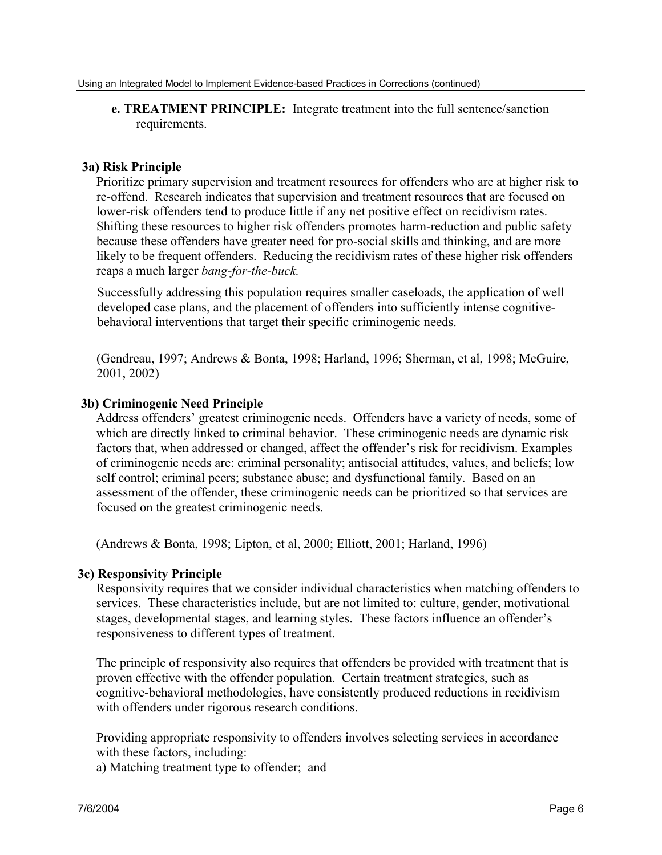**e. TREATMENT PRINCIPLE:** Integrate treatment into the full sentence/sanction requirements.

#### **3a) Risk Principle**

 Prioritize primary supervision and treatment resources for offenders who are at higher risk to re-offend. Research indicates that supervision and treatment resources that are focused on lower-risk offenders tend to produce little if any net positive effect on recidivism rates. Shifting these resources to higher risk offenders promotes harm-reduction and public safety because these offenders have greater need for pro-social skills and thinking, and are more likely to be frequent offenders. Reducing the recidivism rates of these higher risk offenders reaps a much larger *bang-for-the-buck.* 

Successfully addressing this population requires smaller caseloads, the application of well developed case plans, and the placement of offenders into sufficiently intense cognitivebehavioral interventions that target their specific criminogenic needs.

(Gendreau, 1997; Andrews & Bonta, 1998; Harland, 1996; Sherman, et al, 1998; McGuire, 2001, 2002)

#### **3b) Criminogenic Need Principle**

 Address offenders' greatest criminogenic needs. Offenders have a variety of needs, some of which are directly linked to criminal behavior. These criminogenic needs are dynamic risk factors that, when addressed or changed, affect the offender's risk for recidivism. Examples of criminogenic needs are: criminal personality; antisocial attitudes, values, and beliefs; low self control; criminal peers; substance abuse; and dysfunctional family. Based on an assessment of the offender, these criminogenic needs can be prioritized so that services are focused on the greatest criminogenic needs.

(Andrews & Bonta, 1998; Lipton, et al, 2000; Elliott, 2001; Harland, 1996)

#### **3c) Responsivity Principle**

 Responsivity requires that we consider individual characteristics when matching offenders to services. These characteristics include, but are not limited to: culture, gender, motivational stages, developmental stages, and learning styles. These factors influence an offender's responsiveness to different types of treatment.

 The principle of responsivity also requires that offenders be provided with treatment that is proven effective with the offender population. Certain treatment strategies, such as cognitive-behavioral methodologies, have consistently produced reductions in recidivism with offenders under rigorous research conditions.

 Providing appropriate responsivity to offenders involves selecting services in accordance with these factors, including:

a) Matching treatment type to offender; and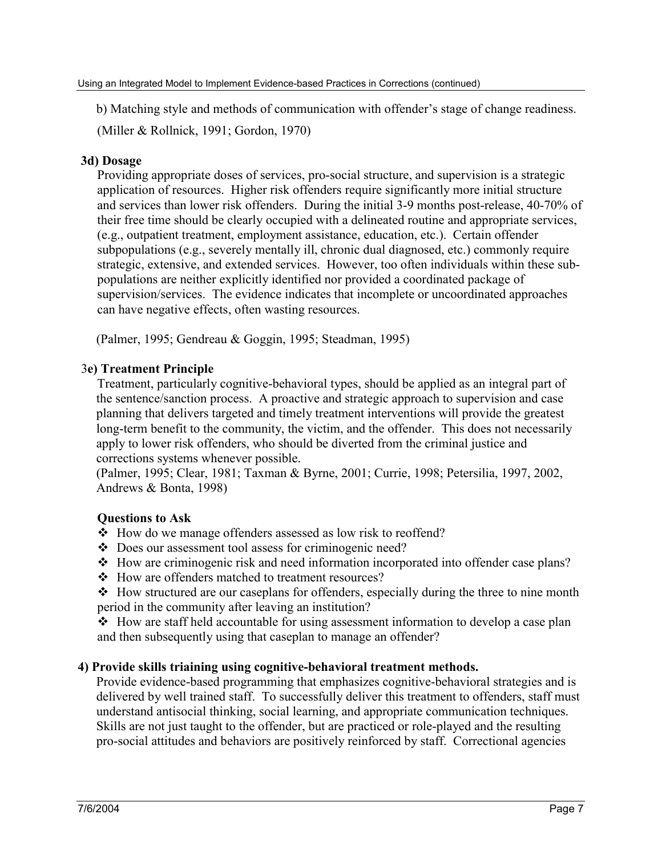b) Matching style and methods of communication with offender's stage of change readiness.

(Miller & Rollnick, 1991; Gordon, 1970)

### **3d) Dosage**

Providing appropriate doses of services, pro-social structure, and supervision is a strategic application of resources. Higher risk offenders require significantly more initial structure and services than lower risk offenders. During the initial 3-9 months post-release, 40-70% of their free time should be clearly occupied with a delineated routine and appropriate services, (e.g., outpatient treatment, employment assistance, education, etc.). Certain offender subpopulations (e.g., severely mentally ill, chronic dual diagnosed, etc.) commonly require strategic, extensive, and extended services. However, too often individuals within these subpopulations are neither explicitly identified nor provided a coordinated package of supervision/services. The evidence indicates that incomplete or uncoordinated approaches can have negative effects, often wasting resources.

(Palmer, 1995; Gendreau & Goggin, 1995; Steadman, 1995)

### 3**e) Treatment Principle**

Treatment, particularly cognitive-behavioral types, should be applied as an integral part of the sentence/sanction process. A proactive and strategic approach to supervision and case planning that delivers targeted and timely treatment interventions will provide the greatest long-term benefit to the community, the victim, and the offender. This does not necessarily apply to lower risk offenders, who should be diverted from the criminal justice and corrections systems whenever possible.

(Palmer, 1995; Clear, 1981; Taxman & Byrne, 2001; Currie, 1998; Petersilia, 1997, 2002, Andrews & Bonta, 1998)

# **Questions to Ask**

- ❖ How do we manage offenders assessed as low risk to reoffend?
- Does our assessment tool assess for criminogenic need?
- How are criminogenic risk and need information incorporated into offender case plans?
- How are offenders matched to treatment resources?

 $\triangleleft$  How structured are our caseplans for offenders, especially during the three to nine month period in the community after leaving an institution?

 $\cdot$  How are staff held accountable for using assessment information to develop a case plan and then subsequently using that caseplan to manage an offender?

#### **4) Provide skills triaining using cognitive-behavioral treatment methods.**

 Provide evidence-based programming that emphasizes cognitive-behavioral strategies and is delivered by well trained staff. To successfully deliver this treatment to offenders, staff must understand antisocial thinking, social learning, and appropriate communication techniques. Skills are not just taught to the offender, but are practiced or role-played and the resulting pro-social attitudes and behaviors are positively reinforced by staff. Correctional agencies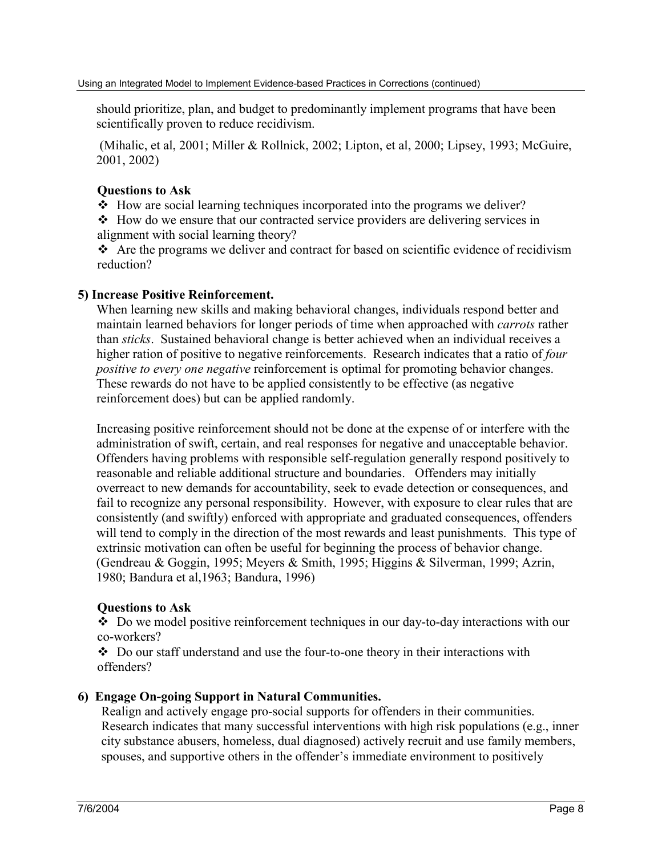should prioritize, plan, and budget to predominantly implement programs that have been scientifically proven to reduce recidivism.

 (Mihalic, et al, 2001; Miller & Rollnick, 2002; Lipton, et al, 2000; Lipsey, 1993; McGuire, 2001, 2002)

### **Questions to Ask**

 $\div$  How are social learning techniques incorporated into the programs we deliver?  $\triangle$  How do we ensure that our contracted service providers are delivering services in alignment with social learning theory?

 $\triangle$  Are the programs we deliver and contract for based on scientific evidence of recidivism reduction?

### **5) Increase Positive Reinforcement.**

 When learning new skills and making behavioral changes, individuals respond better and maintain learned behaviors for longer periods of time when approached with *carrots* rather than *sticks*. Sustained behavioral change is better achieved when an individual receives a higher ration of positive to negative reinforcements. Research indicates that a ratio of *four positive to every one negative* reinforcement is optimal for promoting behavior changes. These rewards do not have to be applied consistently to be effective (as negative reinforcement does) but can be applied randomly.

 Increasing positive reinforcement should not be done at the expense of or interfere with the administration of swift, certain, and real responses for negative and unacceptable behavior. Offenders having problems with responsible self-regulation generally respond positively to reasonable and reliable additional structure and boundaries. Offenders may initially overreact to new demands for accountability, seek to evade detection or consequences, and fail to recognize any personal responsibility. However, with exposure to clear rules that are consistently (and swiftly) enforced with appropriate and graduated consequences, offenders will tend to comply in the direction of the most rewards and least punishments. This type of extrinsic motivation can often be useful for beginning the process of behavior change. (Gendreau & Goggin, 1995; Meyers & Smith, 1995; Higgins & Silverman, 1999; Azrin, 1980; Bandura et al,1963; Bandura, 1996)

#### **Questions to Ask**

• Do we model positive reinforcement techniques in our day-to-day interactions with our co-workers?

• Do our staff understand and use the four-to-one theory in their interactions with offenders?

#### **6) Engage On-going Support in Natural Communities.**

 Realign and actively engage pro-social supports for offenders in their communities. Research indicates that many successful interventions with high risk populations (e.g., inner city substance abusers, homeless, dual diagnosed) actively recruit and use family members, spouses, and supportive others in the offender's immediate environment to positively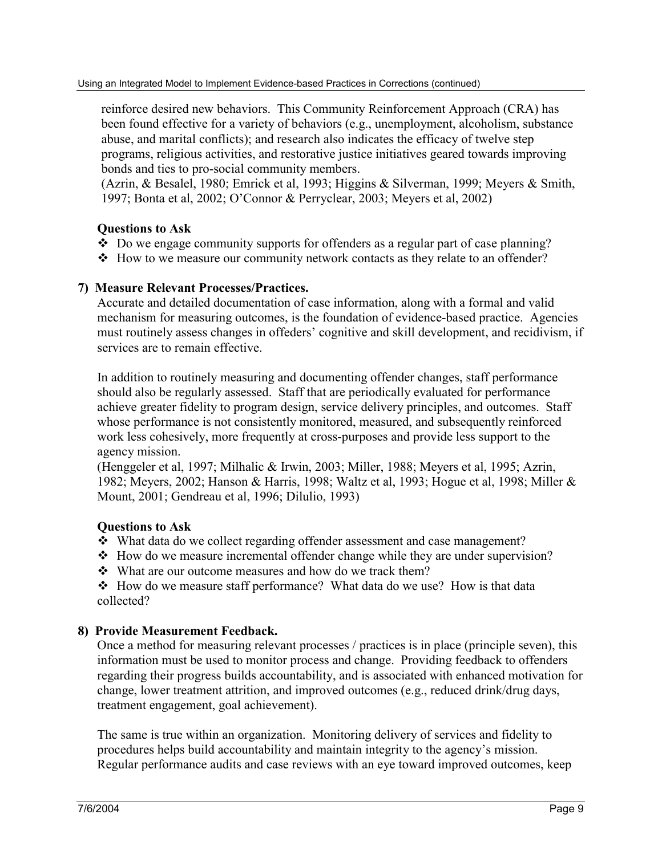reinforce desired new behaviors. This Community Reinforcement Approach (CRA) has been found effective for a variety of behaviors (e.g., unemployment, alcoholism, substance abuse, and marital conflicts); and research also indicates the efficacy of twelve step programs, religious activities, and restorative justice initiatives geared towards improving bonds and ties to pro-social community members.

(Azrin, & Besalel, 1980; Emrick et al, 1993; Higgins & Silverman, 1999; Meyers & Smith, 1997; Bonta et al, 2002; O'Connor & Perryclear, 2003; Meyers et al, 2002)

# **Questions to Ask**

- Do we engage community supports for offenders as a regular part of case planning?
- How to we measure our community network contacts as they relate to an offender?

# **7) Measure Relevant Processes/Practices.**

Accurate and detailed documentation of case information, along with a formal and valid mechanism for measuring outcomes, is the foundation of evidence-based practice. Agencies must routinely assess changes in offeders' cognitive and skill development, and recidivism, if services are to remain effective.

In addition to routinely measuring and documenting offender changes, staff performance should also be regularly assessed. Staff that are periodically evaluated for performance achieve greater fidelity to program design, service delivery principles, and outcomes. Staff whose performance is not consistently monitored, measured, and subsequently reinforced work less cohesively, more frequently at cross-purposes and provide less support to the agency mission.

(Henggeler et al, 1997; Milhalic & Irwin, 2003; Miller, 1988; Meyers et al, 1995; Azrin, 1982; Meyers, 2002; Hanson & Harris, 1998; Waltz et al, 1993; Hogue et al, 1998; Miller & Mount, 2001; Gendreau et al, 1996; Dilulio, 1993)

# **Questions to Ask**

- What data do we collect regarding offender assessment and case management?
- $\triangleleft$  How do we measure incremental offender change while they are under supervision?
- What are our outcome measures and how do we track them?

• How do we measure staff performance? What data do we use? How is that data collected?

# **8) Provide Measurement Feedback.**

Once a method for measuring relevant processes / practices is in place (principle seven), this information must be used to monitor process and change. Providing feedback to offenders regarding their progress builds accountability, and is associated with enhanced motivation for change, lower treatment attrition, and improved outcomes (e.g., reduced drink/drug days, treatment engagement, goal achievement).

The same is true within an organization. Monitoring delivery of services and fidelity to procedures helps build accountability and maintain integrity to the agency's mission. Regular performance audits and case reviews with an eye toward improved outcomes, keep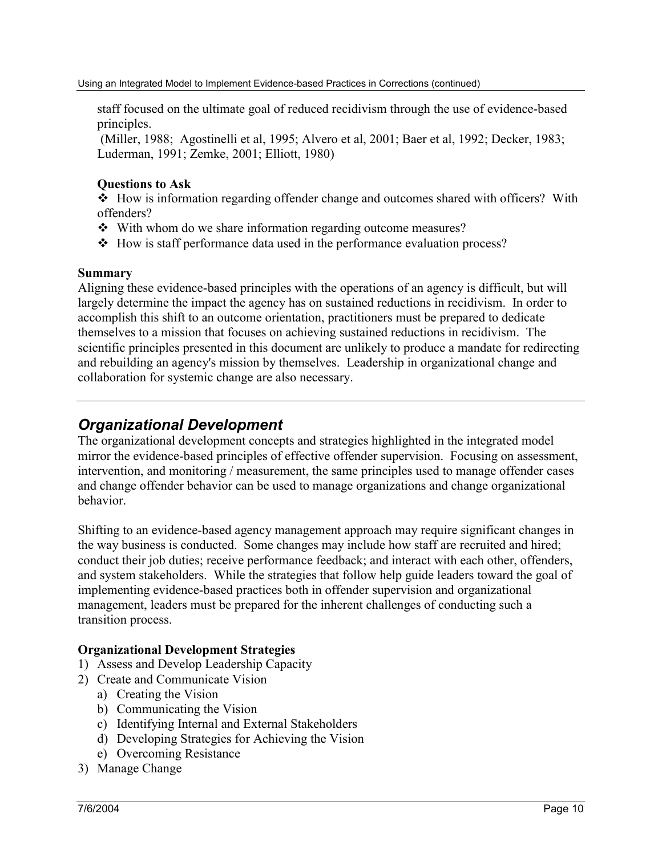staff focused on the ultimate goal of reduced recidivism through the use of evidence-based principles.

 (Miller, 1988; Agostinelli et al, 1995; Alvero et al, 2001; Baer et al, 1992; Decker, 1983; Luderman, 1991; Zemke, 2001; Elliott, 1980)

### **Questions to Ask**

 How is information regarding offender change and outcomes shared with officers? With offenders?

- ◆ With whom do we share information regarding outcome measures?
- ◆ How is staff performance data used in the performance evaluation process?

### **Summary**

Aligning these evidence-based principles with the operations of an agency is difficult, but will largely determine the impact the agency has on sustained reductions in recidivism. In order to accomplish this shift to an outcome orientation, practitioners must be prepared to dedicate themselves to a mission that focuses on achieving sustained reductions in recidivism. The scientific principles presented in this document are unlikely to produce a mandate for redirecting and rebuilding an agency's mission by themselves. Leadership in organizational change and collaboration for systemic change are also necessary.

# *Organizational Development*

The organizational development concepts and strategies highlighted in the integrated model mirror the evidence-based principles of effective offender supervision. Focusing on assessment, intervention, and monitoring / measurement, the same principles used to manage offender cases and change offender behavior can be used to manage organizations and change organizational behavior.

Shifting to an evidence-based agency management approach may require significant changes in the way business is conducted. Some changes may include how staff are recruited and hired; conduct their job duties; receive performance feedback; and interact with each other, offenders, and system stakeholders. While the strategies that follow help guide leaders toward the goal of implementing evidence-based practices both in offender supervision and organizational management, leaders must be prepared for the inherent challenges of conducting such a transition process.

# **Organizational Development Strategies**

- 1) Assess and Develop Leadership Capacity
- 2) Create and Communicate Vision
	- a) Creating the Vision
	- b) Communicating the Vision
	- c) Identifying Internal and External Stakeholders
	- d) Developing Strategies for Achieving the Vision
	- e) Overcoming Resistance
- 3) Manage Change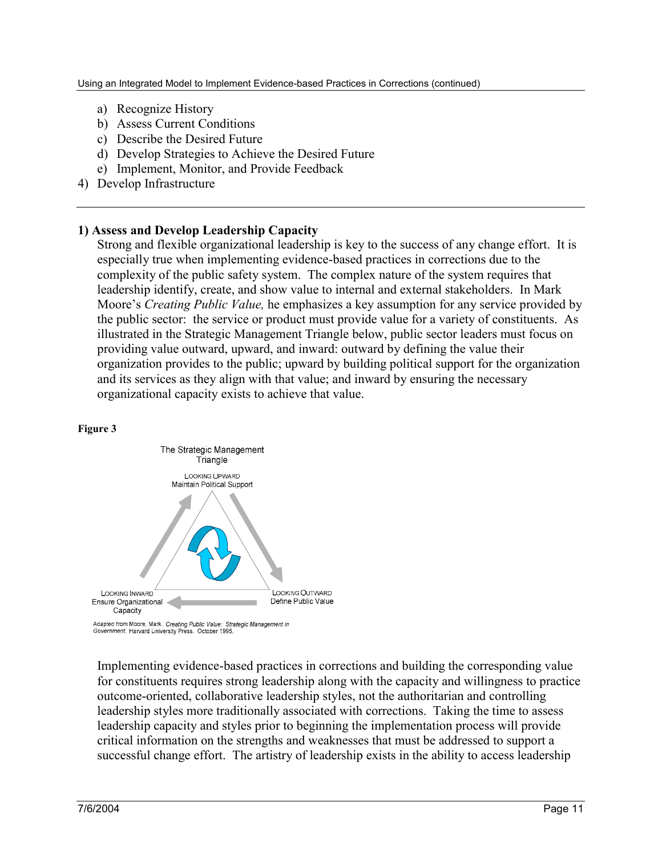- a) Recognize History
- b) Assess Current Conditions
- c) Describe the Desired Future
- d) Develop Strategies to Achieve the Desired Future
- e) Implement, Monitor, and Provide Feedback
- 4) Develop Infrastructure

### **1) Assess and Develop Leadership Capacity**

Strong and flexible organizational leadership is key to the success of any change effort. It is especially true when implementing evidence-based practices in corrections due to the complexity of the public safety system. The complex nature of the system requires that leadership identify, create, and show value to internal and external stakeholders. In Mark Moore's *Creating Public Value,* he emphasizes a key assumption for any service provided by the public sector: the service or product must provide value for a variety of constituents. As illustrated in the Strategic Management Triangle below, public sector leaders must focus on providing value outward, upward, and inward: outward by defining the value their organization provides to the public; upward by building political support for the organization and its services as they align with that value; and inward by ensuring the necessary organizational capacity exists to achieve that value.





Government. Harvard University Press. October 1995

Implementing evidence-based practices in corrections and building the corresponding value for constituents requires strong leadership along with the capacity and willingness to practice outcome-oriented, collaborative leadership styles, not the authoritarian and controlling leadership styles more traditionally associated with corrections. Taking the time to assess leadership capacity and styles prior to beginning the implementation process will provide critical information on the strengths and weaknesses that must be addressed to support a successful change effort. The artistry of leadership exists in the ability to access leadership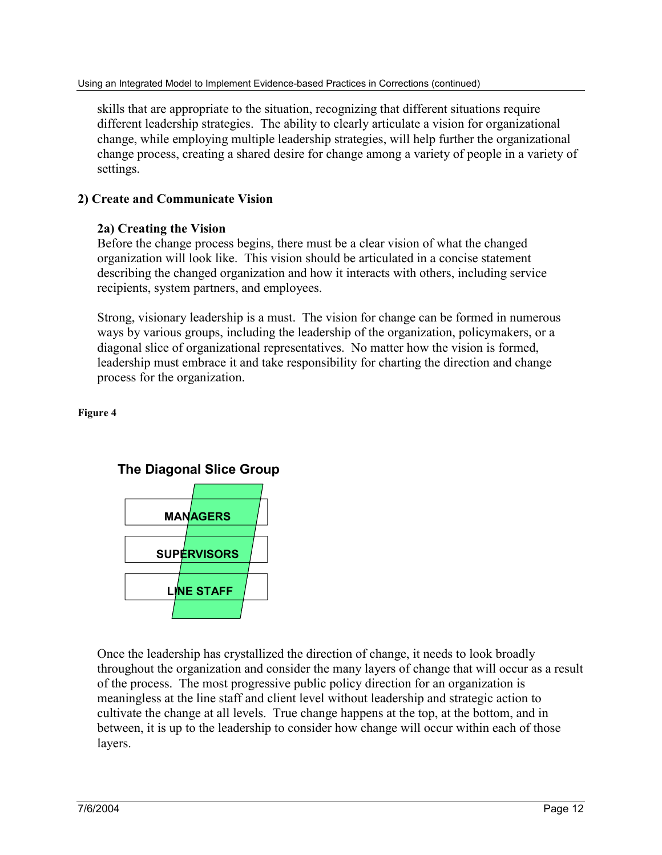skills that are appropriate to the situation, recognizing that different situations require different leadership strategies. The ability to clearly articulate a vision for organizational change, while employing multiple leadership strategies, will help further the organizational change process, creating a shared desire for change among a variety of people in a variety of settings.

### **2) Create and Communicate Vision**

#### **2a) Creating the Vision**

Before the change process begins, there must be a clear vision of what the changed organization will look like. This vision should be articulated in a concise statement describing the changed organization and how it interacts with others, including service recipients, system partners, and employees.

Strong, visionary leadership is a must. The vision for change can be formed in numerous ways by various groups, including the leadership of the organization, policymakers, or a diagonal slice of organizational representatives. No matter how the vision is formed, leadership must embrace it and take responsibility for charting the direction and change process for the organization.

**Figure 4** 



Once the leadership has crystallized the direction of change, it needs to look broadly throughout the organization and consider the many layers of change that will occur as a result of the process. The most progressive public policy direction for an organization is meaningless at the line staff and client level without leadership and strategic action to cultivate the change at all levels. True change happens at the top, at the bottom, and in between, it is up to the leadership to consider how change will occur within each of those layers.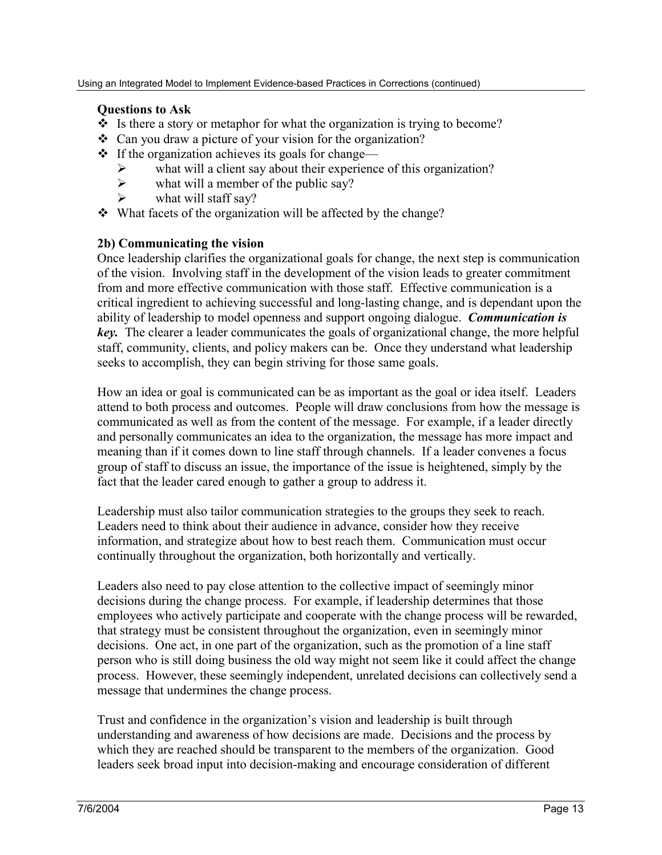#### **Questions to Ask**

- $\cdot$  Is there a story or metaphor for what the organization is trying to become?
- $\triangle$  Can you draw a picture of your vision for the organization?
- $\div$  If the organization achieves its goals for change—
	- $\triangleright$  what will a client say about their experience of this organization?
	- $\triangleright$  what will a member of the public say?
	- $\triangleright$  what will staff say?
- What facets of the organization will be affected by the change?

#### **2b) Communicating the vision**

Once leadership clarifies the organizational goals for change, the next step is communication of the vision. Involving staff in the development of the vision leads to greater commitment from and more effective communication with those staff. Effective communication is a critical ingredient to achieving successful and long-lasting change, and is dependant upon the ability of leadership to model openness and support ongoing dialogue. *Communication is key.* The clearer a leader communicates the goals of organizational change, the more helpful staff, community, clients, and policy makers can be. Once they understand what leadership seeks to accomplish, they can begin striving for those same goals.

How an idea or goal is communicated can be as important as the goal or idea itself. Leaders attend to both process and outcomes. People will draw conclusions from how the message is communicated as well as from the content of the message. For example, if a leader directly and personally communicates an idea to the organization, the message has more impact and meaning than if it comes down to line staff through channels. If a leader convenes a focus group of staff to discuss an issue, the importance of the issue is heightened, simply by the fact that the leader cared enough to gather a group to address it.

Leadership must also tailor communication strategies to the groups they seek to reach. Leaders need to think about their audience in advance, consider how they receive information, and strategize about how to best reach them. Communication must occur continually throughout the organization, both horizontally and vertically.

Leaders also need to pay close attention to the collective impact of seemingly minor decisions during the change process. For example, if leadership determines that those employees who actively participate and cooperate with the change process will be rewarded, that strategy must be consistent throughout the organization, even in seemingly minor decisions. One act, in one part of the organization, such as the promotion of a line staff person who is still doing business the old way might not seem like it could affect the change process. However, these seemingly independent, unrelated decisions can collectively send a message that undermines the change process.

Trust and confidence in the organization's vision and leadership is built through understanding and awareness of how decisions are made. Decisions and the process by which they are reached should be transparent to the members of the organization. Good leaders seek broad input into decision-making and encourage consideration of different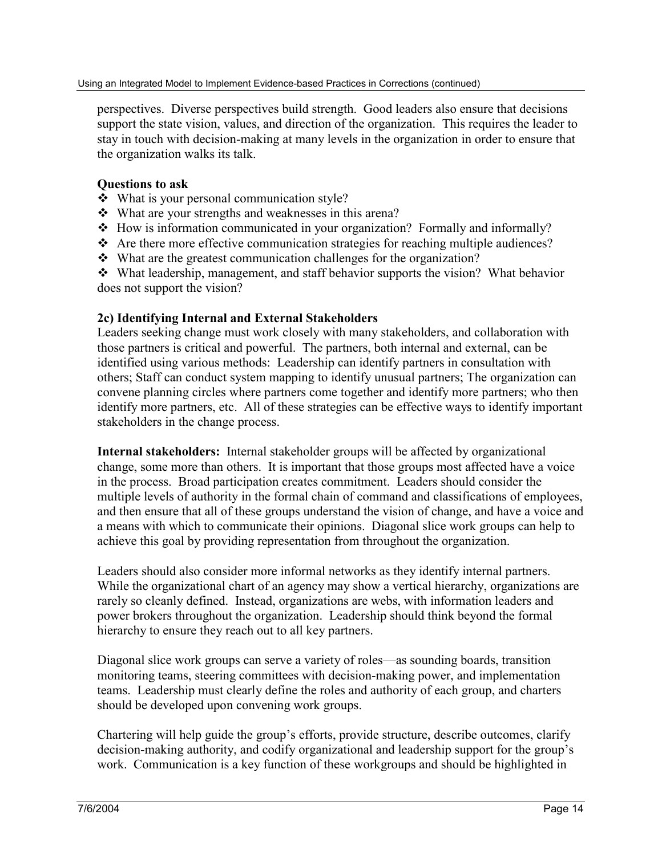perspectives. Diverse perspectives build strength. Good leaders also ensure that decisions support the state vision, values, and direction of the organization. This requires the leader to stay in touch with decision-making at many levels in the organization in order to ensure that the organization walks its talk.

#### **Questions to ask**

- What is your personal communication style?
- What are your strengths and weaknesses in this arena?
- How is information communicated in your organization? Formally and informally?
- Are there more effective communication strategies for reaching multiple audiences?
- $\cdot$  What are the greatest communication challenges for the organization?

 What leadership, management, and staff behavior supports the vision? What behavior does not support the vision?

#### **2c) Identifying Internal and External Stakeholders**

Leaders seeking change must work closely with many stakeholders, and collaboration with those partners is critical and powerful. The partners, both internal and external, can be identified using various methods: Leadership can identify partners in consultation with others; Staff can conduct system mapping to identify unusual partners; The organization can convene planning circles where partners come together and identify more partners; who then identify more partners, etc. All of these strategies can be effective ways to identify important stakeholders in the change process.

**Internal stakeholders:** Internal stakeholder groups will be affected by organizational change, some more than others. It is important that those groups most affected have a voice in the process. Broad participation creates commitment. Leaders should consider the multiple levels of authority in the formal chain of command and classifications of employees, and then ensure that all of these groups understand the vision of change, and have a voice and a means with which to communicate their opinions. Diagonal slice work groups can help to achieve this goal by providing representation from throughout the organization.

Leaders should also consider more informal networks as they identify internal partners. While the organizational chart of an agency may show a vertical hierarchy, organizations are rarely so cleanly defined. Instead, organizations are webs, with information leaders and power brokers throughout the organization. Leadership should think beyond the formal hierarchy to ensure they reach out to all key partners.

Diagonal slice work groups can serve a variety of roles—as sounding boards, transition monitoring teams, steering committees with decision-making power, and implementation teams. Leadership must clearly define the roles and authority of each group, and charters should be developed upon convening work groups.

Chartering will help guide the group's efforts, provide structure, describe outcomes, clarify decision-making authority, and codify organizational and leadership support for the group's work. Communication is a key function of these workgroups and should be highlighted in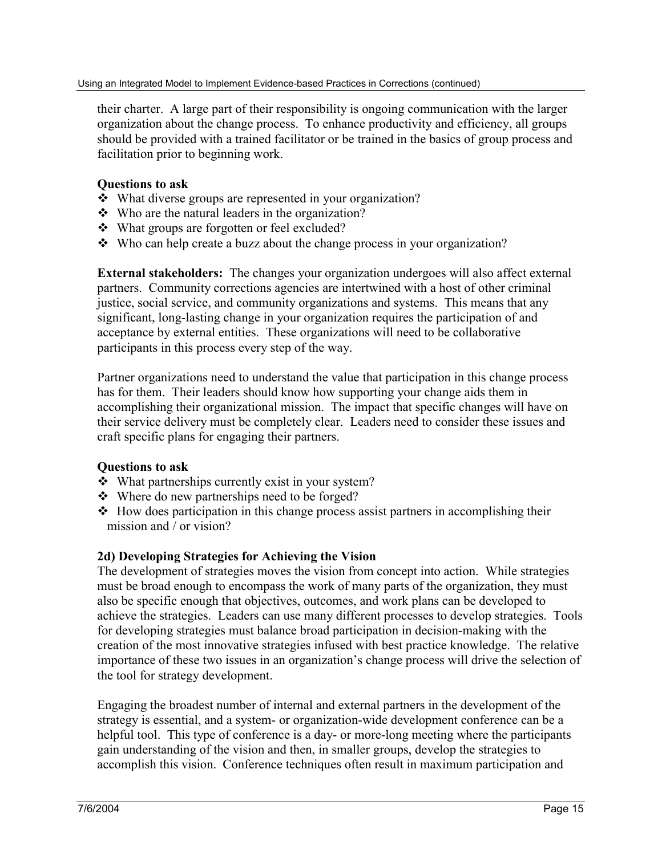their charter. A large part of their responsibility is ongoing communication with the larger organization about the change process. To enhance productivity and efficiency, all groups should be provided with a trained facilitator or be trained in the basics of group process and facilitation prior to beginning work.

#### **Questions to ask**

- What diverse groups are represented in your organization?
- Who are the natural leaders in the organization?
- What groups are forgotten or feel excluded?
- Who can help create a buzz about the change process in your organization?

**External stakeholders:** The changes your organization undergoes will also affect external partners. Community corrections agencies are intertwined with a host of other criminal justice, social service, and community organizations and systems. This means that any significant, long-lasting change in your organization requires the participation of and acceptance by external entities. These organizations will need to be collaborative participants in this process every step of the way.

Partner organizations need to understand the value that participation in this change process has for them. Their leaders should know how supporting your change aids them in accomplishing their organizational mission. The impact that specific changes will have on their service delivery must be completely clear. Leaders need to consider these issues and craft specific plans for engaging their partners.

#### **Questions to ask**

- What partnerships currently exist in your system?
- Where do new partnerships need to be forged?
- $\triangle$  How does participation in this change process assist partners in accomplishing their mission and / or vision?

# **2d) Developing Strategies for Achieving the Vision**

The development of strategies moves the vision from concept into action. While strategies must be broad enough to encompass the work of many parts of the organization, they must also be specific enough that objectives, outcomes, and work plans can be developed to achieve the strategies. Leaders can use many different processes to develop strategies. Tools for developing strategies must balance broad participation in decision-making with the creation of the most innovative strategies infused with best practice knowledge. The relative importance of these two issues in an organization's change process will drive the selection of the tool for strategy development.

Engaging the broadest number of internal and external partners in the development of the strategy is essential, and a system- or organization-wide development conference can be a helpful tool. This type of conference is a day- or more-long meeting where the participants gain understanding of the vision and then, in smaller groups, develop the strategies to accomplish this vision. Conference techniques often result in maximum participation and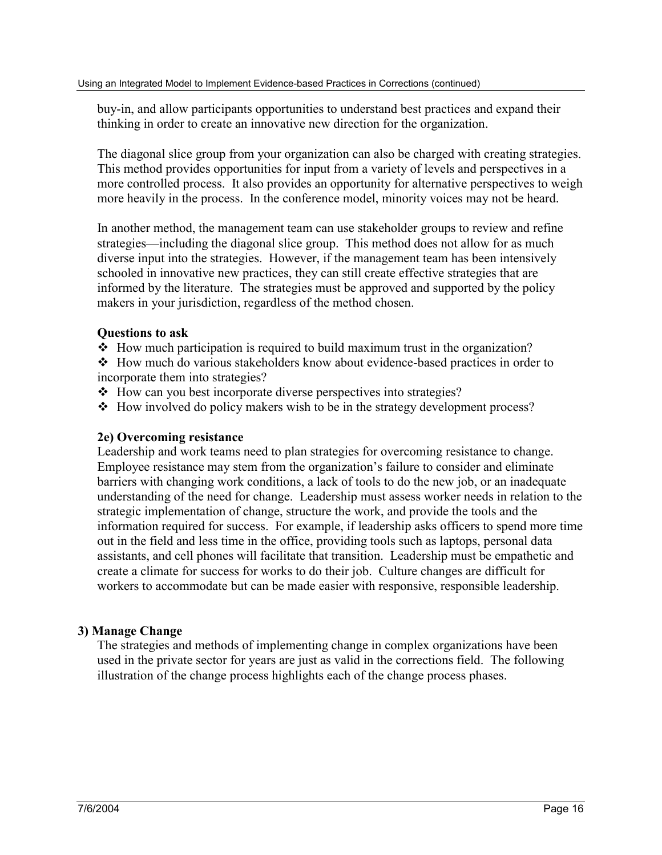buy-in, and allow participants opportunities to understand best practices and expand their thinking in order to create an innovative new direction for the organization.

The diagonal slice group from your organization can also be charged with creating strategies. This method provides opportunities for input from a variety of levels and perspectives in a more controlled process. It also provides an opportunity for alternative perspectives to weigh more heavily in the process. In the conference model, minority voices may not be heard.

In another method, the management team can use stakeholder groups to review and refine strategies—including the diagonal slice group. This method does not allow for as much diverse input into the strategies. However, if the management team has been intensively schooled in innovative new practices, they can still create effective strategies that are informed by the literature. The strategies must be approved and supported by the policy makers in your jurisdiction, regardless of the method chosen.

### **Questions to ask**

- $\div$  How much participation is required to build maximum trust in the organization?
- How much do various stakeholders know about evidence-based practices in order to incorporate them into strategies?
- $\triangle$  How can you best incorporate diverse perspectives into strategies?
- $\div$  How involved do policy makers wish to be in the strategy development process?

# **2e) Overcoming resistance**

Leadership and work teams need to plan strategies for overcoming resistance to change. Employee resistance may stem from the organization's failure to consider and eliminate barriers with changing work conditions, a lack of tools to do the new job, or an inadequate understanding of the need for change. Leadership must assess worker needs in relation to the strategic implementation of change, structure the work, and provide the tools and the information required for success. For example, if leadership asks officers to spend more time out in the field and less time in the office, providing tools such as laptops, personal data assistants, and cell phones will facilitate that transition. Leadership must be empathetic and create a climate for success for works to do their job. Culture changes are difficult for workers to accommodate but can be made easier with responsive, responsible leadership.

# **3) Manage Change**

The strategies and methods of implementing change in complex organizations have been used in the private sector for years are just as valid in the corrections field. The following illustration of the change process highlights each of the change process phases.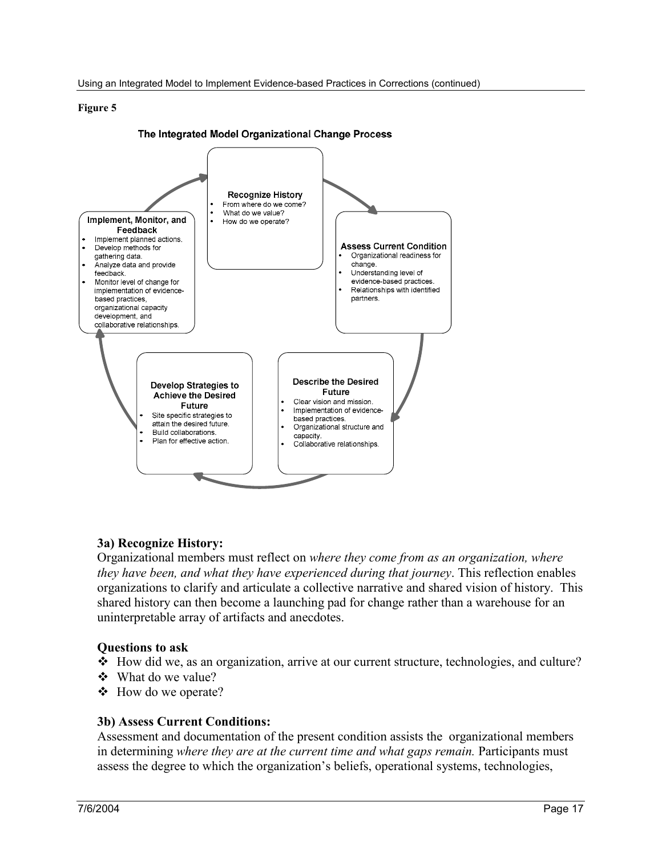#### **Figure 5**



#### **3a) Recognize History:**

Organizational members must reflect on *where they come from as an organization, where they have been, and what they have experienced during that journey*. This reflection enables organizations to clarify and articulate a collective narrative and shared vision of history. This shared history can then become a launching pad for change rather than a warehouse for an uninterpretable array of artifacts and anecdotes.

#### **Questions to ask**

- How did we, as an organization, arrive at our current structure, technologies, and culture?
- What do we value?
- ❖ How do we operate?

#### **3b) Assess Current Conditions:**

Assessment and documentation of the present condition assists the organizational members in determining *where they are at the current time and what gaps remain.* Participants must assess the degree to which the organization's beliefs, operational systems, technologies,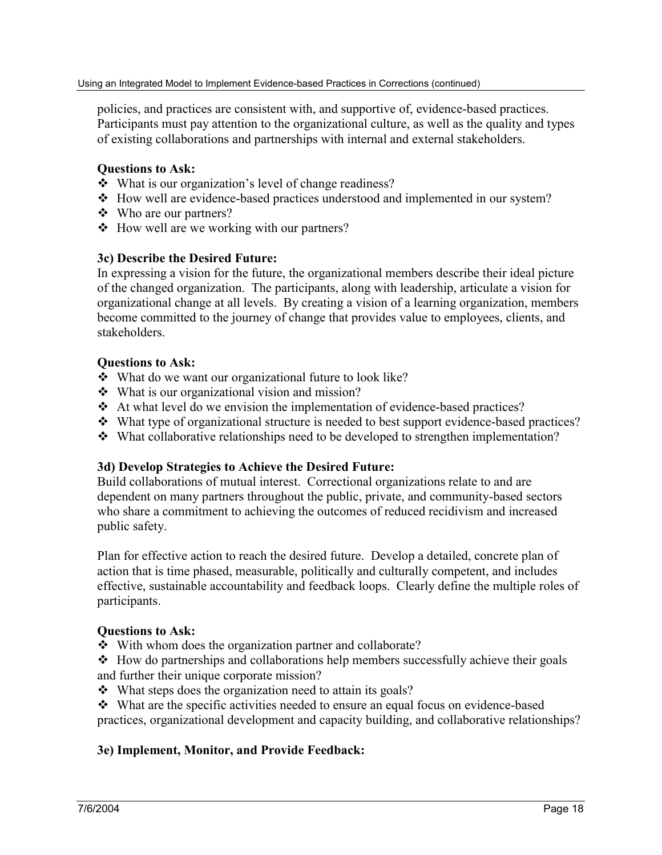policies, and practices are consistent with, and supportive of, evidence-based practices. Participants must pay attention to the organizational culture, as well as the quality and types of existing collaborations and partnerships with internal and external stakeholders.

#### **Questions to Ask:**

- What is our organization's level of change readiness?
- How well are evidence-based practices understood and implemented in our system?
- Who are our partners?
- $\triangle$  How well are we working with our partners?

#### **3c) Describe the Desired Future:**

In expressing a vision for the future, the organizational members describe their ideal picture of the changed organization. The participants, along with leadership, articulate a vision for organizational change at all levels. By creating a vision of a learning organization, members become committed to the journey of change that provides value to employees, clients, and stakeholders.

#### **Questions to Ask:**

- What do we want our organizational future to look like?
- What is our organizational vision and mission?
- At what level do we envision the implementation of evidence-based practices?
- What type of organizational structure is needed to best support evidence-based practices?
- $\cdot$  What collaborative relationships need to be developed to strengthen implementation?

#### **3d) Develop Strategies to Achieve the Desired Future:**

Build collaborations of mutual interest. Correctional organizations relate to and are dependent on many partners throughout the public, private, and community-based sectors who share a commitment to achieving the outcomes of reduced recidivism and increased public safety.

Plan for effective action to reach the desired future. Develop a detailed, concrete plan of action that is time phased, measurable, politically and culturally competent, and includes effective, sustainable accountability and feedback loops. Clearly define the multiple roles of participants.

#### **Questions to Ask:**

With whom does the organization partner and collaborate?

 $\triangle$  How do partnerships and collaborations help members successfully achieve their goals and further their unique corporate mission?

 $\bullet$  What steps does the organization need to attain its goals?

 What are the specific activities needed to ensure an equal focus on evidence-based practices, organizational development and capacity building, and collaborative relationships?

#### **3e) Implement, Monitor, and Provide Feedback:**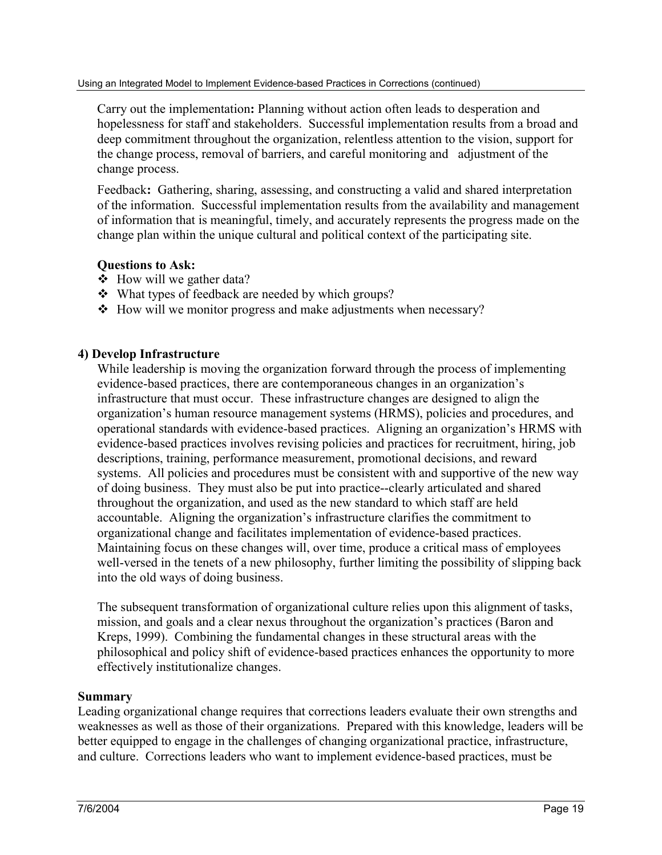#### Using an Integrated Model to Implement Evidence-based Practices in Corrections (continued)

Carry out the implementation**:** Planning without action often leads to desperation and hopelessness for staff and stakeholders.Successful implementation results from a broad and deep commitment throughout the organization, relentless attention to the vision, support for the change process, removal of barriers, and careful monitoring and adjustment of the change process.

Feedback**:** Gathering, sharing, assessing, and constructing a valid and shared interpretation of the information. Successful implementation results from the availability and management of information that is meaningful, timely, and accurately represents the progress made on the change plan within the unique cultural and political context of the participating site.

### **Questions to Ask:**

- $\div$  How will we gather data?
- What types of feedback are needed by which groups?
- $\triangleleft$  How will we monitor progress and make adjustments when necessary?

#### **4) Develop Infrastructure**

While leadership is moving the organization forward through the process of implementing evidence-based practices, there are contemporaneous changes in an organization's infrastructure that must occur. These infrastructure changes are designed to align the organization's human resource management systems (HRMS), policies and procedures, and operational standards with evidence-based practices. Aligning an organization's HRMS with evidence-based practices involves revising policies and practices for recruitment, hiring, job descriptions, training, performance measurement, promotional decisions, and reward systems. All policies and procedures must be consistent with and supportive of the new way of doing business. They must also be put into practice--clearly articulated and shared throughout the organization, and used as the new standard to which staff are held accountable. Aligning the organization's infrastructure clarifies the commitment to organizational change and facilitates implementation of evidence-based practices. Maintaining focus on these changes will, over time, produce a critical mass of employees well-versed in the tenets of a new philosophy, further limiting the possibility of slipping back into the old ways of doing business.

The subsequent transformation of organizational culture relies upon this alignment of tasks, mission, and goals and a clear nexus throughout the organization's practices (Baron and Kreps, 1999). Combining the fundamental changes in these structural areas with the philosophical and policy shift of evidence-based practices enhances the opportunity to more effectively institutionalize changes.

#### **Summary**

Leading organizational change requires that corrections leaders evaluate their own strengths and weaknesses as well as those of their organizations. Prepared with this knowledge, leaders will be better equipped to engage in the challenges of changing organizational practice, infrastructure, and culture. Corrections leaders who want to implement evidence-based practices, must be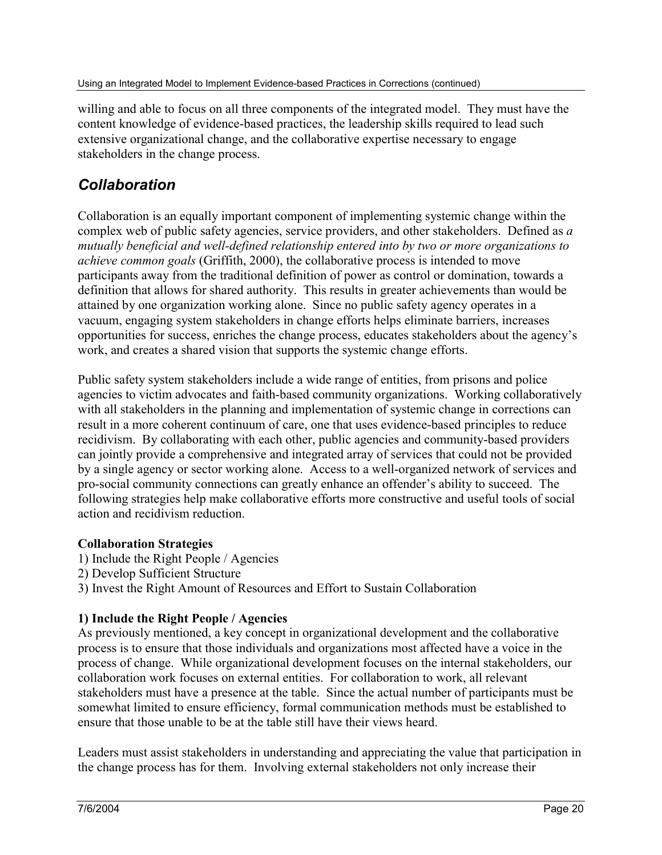willing and able to focus on all three components of the integrated model. They must have the content knowledge of evidence-based practices, the leadership skills required to lead such extensive organizational change, and the collaborative expertise necessary to engage stakeholders in the change process.

# *Collaboration*

Collaboration is an equally important component of implementing systemic change within the complex web of public safety agencies, service providers, and other stakeholders. Defined as *a mutually beneficial and well-defined relationship entered into by two or more organizations to achieve common goals* (Griffith, 2000), the collaborative process is intended to move participants away from the traditional definition of power as control or domination, towards a definition that allows for shared authority. This results in greater achievements than would be attained by one organization working alone. Since no public safety agency operates in a vacuum, engaging system stakeholders in change efforts helps eliminate barriers, increases opportunities for success, enriches the change process, educates stakeholders about the agency's work, and creates a shared vision that supports the systemic change efforts.

Public safety system stakeholders include a wide range of entities, from prisons and police agencies to victim advocates and faith-based community organizations. Working collaboratively with all stakeholders in the planning and implementation of systemic change in corrections can result in a more coherent continuum of care, one that uses evidence-based principles to reduce recidivism. By collaborating with each other, public agencies and community-based providers can jointly provide a comprehensive and integrated array of services that could not be provided by a single agency or sector working alone. Access to a well-organized network of services and pro-social community connections can greatly enhance an offender's ability to succeed. The following strategies help make collaborative efforts more constructive and useful tools of social action and recidivism reduction.

# **Collaboration Strategies**

- 1) Include the Right People / Agencies
- 2) Develop Sufficient Structure
- 3) Invest the Right Amount of Resources and Effort to Sustain Collaboration

# **1) Include the Right People / Agencies**

As previously mentioned, a key concept in organizational development and the collaborative process is to ensure that those individuals and organizations most affected have a voice in the process of change. While organizational development focuses on the internal stakeholders, our collaboration work focuses on external entities. For collaboration to work, all relevant stakeholders must have a presence at the table. Since the actual number of participants must be somewhat limited to ensure efficiency, formal communication methods must be established to ensure that those unable to be at the table still have their views heard.

Leaders must assist stakeholders in understanding and appreciating the value that participation in the change process has for them. Involving external stakeholders not only increase their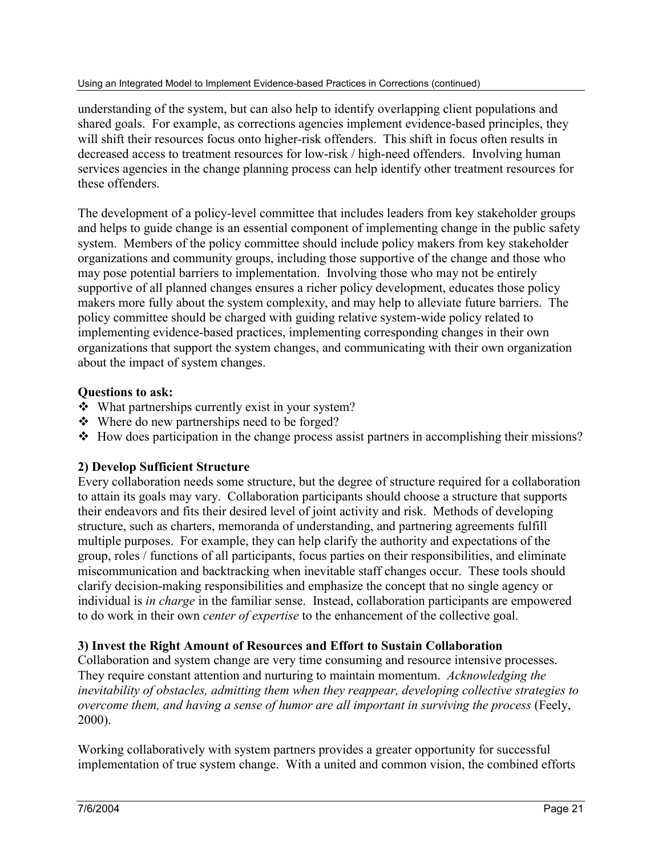understanding of the system, but can also help to identify overlapping client populations and shared goals. For example, as corrections agencies implement evidence-based principles, they will shift their resources focus onto higher-risk offenders. This shift in focus often results in decreased access to treatment resources for low-risk / high-need offenders. Involving human services agencies in the change planning process can help identify other treatment resources for these offenders.

The development of a policy-level committee that includes leaders from key stakeholder groups and helps to guide change is an essential component of implementing change in the public safety system. Members of the policy committee should include policy makers from key stakeholder organizations and community groups, including those supportive of the change and those who may pose potential barriers to implementation. Involving those who may not be entirely supportive of all planned changes ensures a richer policy development, educates those policy makers more fully about the system complexity, and may help to alleviate future barriers. The policy committee should be charged with guiding relative system-wide policy related to implementing evidence-based practices, implementing corresponding changes in their own organizations that support the system changes, and communicating with their own organization about the impact of system changes.

# **Questions to ask:**

- What partnerships currently exist in your system?
- Where do new partnerships need to be forged?
- $\triangleleft$  How does participation in the change process assist partners in accomplishing their missions?

# **2) Develop Sufficient Structure**

Every collaboration needs some structure, but the degree of structure required for a collaboration to attain its goals may vary. Collaboration participants should choose a structure that supports their endeavors and fits their desired level of joint activity and risk. Methods of developing structure, such as charters, memoranda of understanding, and partnering agreements fulfill multiple purposes. For example, they can help clarify the authority and expectations of the group, roles / functions of all participants, focus parties on their responsibilities, and eliminate miscommunication and backtracking when inevitable staff changes occur. These tools should clarify decision-making responsibilities and emphasize the concept that no single agency or individual is *in charge* in the familiar sense. Instead, collaboration participants are empowered to do work in their own *center of expertise* to the enhancement of the collective goal.

# **3) Invest the Right Amount of Resources and Effort to Sustain Collaboration**

Collaboration and system change are very time consuming and resource intensive processes. They require constant attention and nurturing to maintain momentum. *Acknowledging the inevitability of obstacles, admitting them when they reappear, developing collective strategies to overcome them, and having a sense of humor are all important in surviving the process* (Feely, 2000).

Working collaboratively with system partners provides a greater opportunity for successful implementation of true system change. With a united and common vision, the combined efforts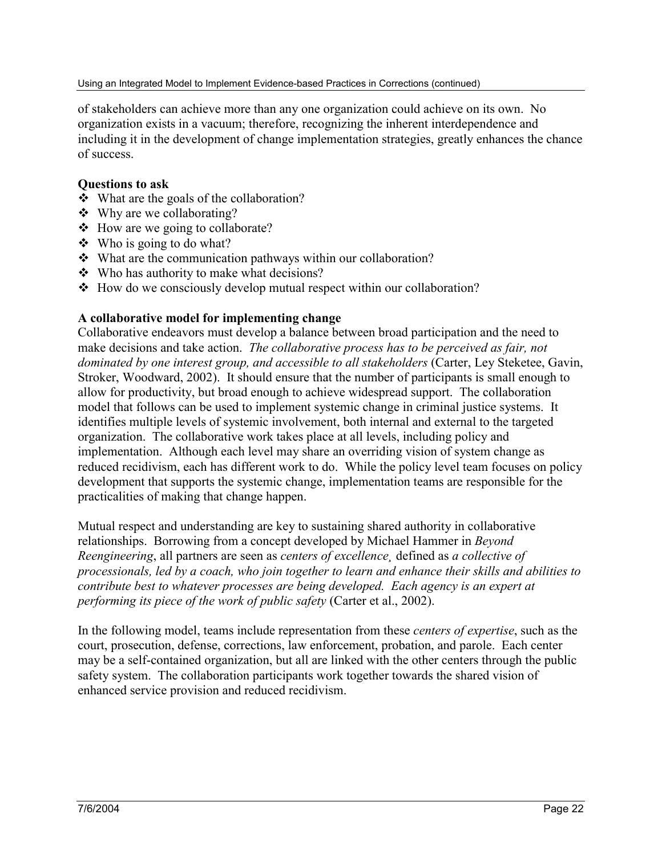of stakeholders can achieve more than any one organization could achieve on its own. No organization exists in a vacuum; therefore, recognizing the inherent interdependence and including it in the development of change implementation strategies, greatly enhances the chance of success.

#### **Questions to ask**

- What are the goals of the collaboration?
- $\triangleleft$  Why are we collaborating?
- $\div$  How are we going to collaborate?
- $\bullet$  Who is going to do what?
- What are the communication pathways within our collaboration?
- Who has authority to make what decisions?
- $\div$  How do we consciously develop mutual respect within our collaboration?

#### **A collaborative model for implementing change**

Collaborative endeavors must develop a balance between broad participation and the need to make decisions and take action. *The collaborative process has to be perceived as fair, not dominated by one interest group, and accessible to all stakeholders* (Carter, Ley Steketee, Gavin, Stroker, Woodward, 2002). It should ensure that the number of participants is small enough to allow for productivity, but broad enough to achieve widespread support. The collaboration model that follows can be used to implement systemic change in criminal justice systems. It identifies multiple levels of systemic involvement, both internal and external to the targeted organization. The collaborative work takes place at all levels, including policy and implementation. Although each level may share an overriding vision of system change as reduced recidivism, each has different work to do. While the policy level team focuses on policy development that supports the systemic change, implementation teams are responsible for the practicalities of making that change happen.

Mutual respect and understanding are key to sustaining shared authority in collaborative relationships. Borrowing from a concept developed by Michael Hammer in *Beyond Reengineering*, all partners are seen as *centers of excellence¸* defined as *a collective of processionals, led by a coach, who join together to learn and enhance their skills and abilities to contribute best to whatever processes are being developed. Each agency is an expert at performing its piece of the work of public safety* (Carter et al., 2002).

In the following model, teams include representation from these *centers of expertise*, such as the court, prosecution, defense, corrections, law enforcement, probation, and parole. Each center may be a self-contained organization, but all are linked with the other centers through the public safety system. The collaboration participants work together towards the shared vision of enhanced service provision and reduced recidivism.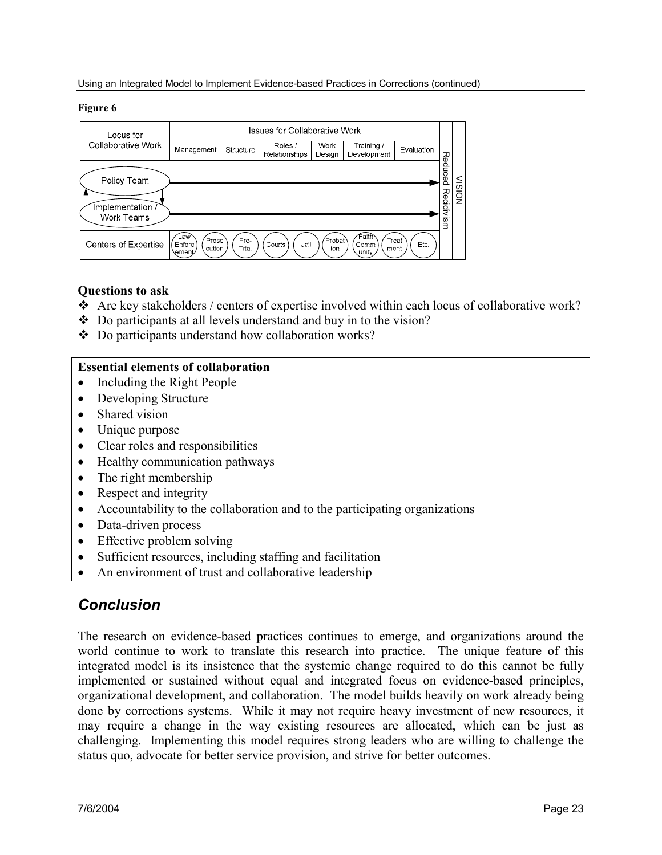#### **Figure 6**

| Locus for            | <b>Issues for Collaborative Work</b>       |               |                          |                 |                           |                       |          |        |
|----------------------|--------------------------------------------|---------------|--------------------------|-----------------|---------------------------|-----------------------|----------|--------|
| Collaborative Work   | Management                                 | Structure     | Roles /<br>Relationships | Work<br>Design  | Training /<br>Development | Evaluation            | 징        |        |
| Policy Team          |                                            |               |                          |                 |                           |                       | duced    |        |
| Implementation /     |                                            |               |                          |                 |                           |                       | Recidivi | NOISIN |
| Work Teams           |                                            |               |                          |                 |                           |                       | gu       |        |
| Centers of Expertise | Law<br>Prose<br>Enforc<br>cution<br>∖ement | Pre-<br>Trial | Jail<br>Courts           | ∕Probat`<br>ion | Faith<br>Comm<br>unity    | Treat<br>Etc.<br>ment |          |        |

#### **Questions to ask**

- $\triangle$  Are key stakeholders / centers of expertise involved within each locus of collaborative work?
- $\triangle$  Do participants at all levels understand and buy in to the vision?
- Do participants understand how collaboration works?

#### **Essential elements of collaboration**

- Including the Right People
- Developing Structure
- Shared vision
- Unique purpose
- Clear roles and responsibilities
- Healthy communication pathways
- The right membership
- Respect and integrity
- Accountability to the collaboration and to the participating organizations
- Data-driven process
- Effective problem solving
- Sufficient resources, including staffing and facilitation
- An environment of trust and collaborative leadership

# *Conclusion*

The research on evidence-based practices continues to emerge, and organizations around the world continue to work to translate this research into practice. The unique feature of this integrated model is its insistence that the systemic change required to do this cannot be fully implemented or sustained without equal and integrated focus on evidence-based principles, organizational development, and collaboration. The model builds heavily on work already being done by corrections systems. While it may not require heavy investment of new resources, it may require a change in the way existing resources are allocated, which can be just as challenging. Implementing this model requires strong leaders who are willing to challenge the status quo, advocate for better service provision, and strive for better outcomes.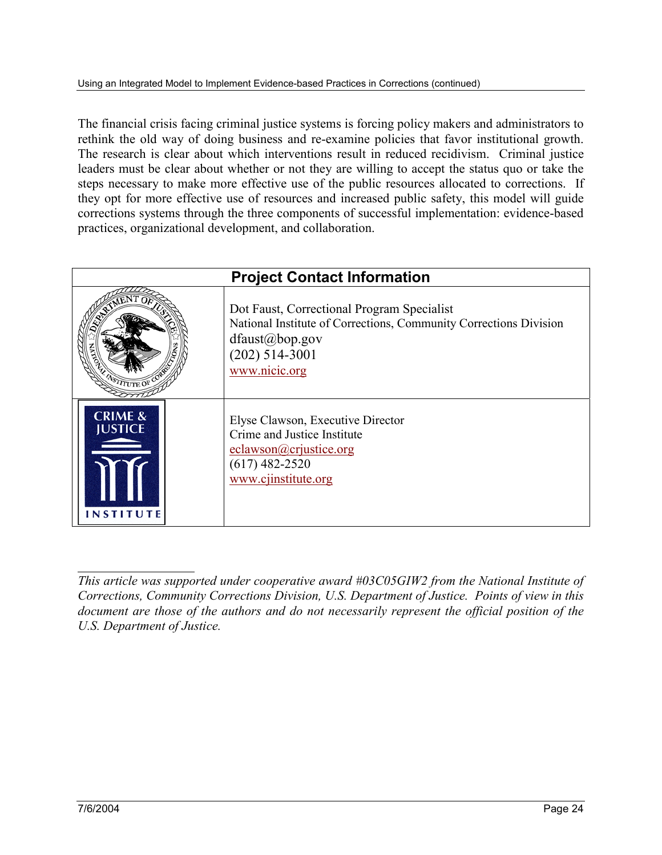The financial crisis facing criminal justice systems is forcing policy makers and administrators to rethink the old way of doing business and re-examine policies that favor institutional growth. The research is clear about which interventions result in reduced recidivism. Criminal justice leaders must be clear about whether or not they are willing to accept the status quo or take the steps necessary to make more effective use of the public resources allocated to corrections. If they opt for more effective use of resources and increased public safety, this model will guide corrections systems through the three components of successful implementation: evidence-based practices, organizational development, and collaboration.

| <b>Project Contact Information</b>                       |                                                                                                                                                                        |  |  |  |
|----------------------------------------------------------|------------------------------------------------------------------------------------------------------------------------------------------------------------------------|--|--|--|
| TUTE OF                                                  | Dot Faust, Correctional Program Specialist<br>National Institute of Corrections, Community Corrections Division<br>dfaust@bop.gov<br>$(202)$ 514-3001<br>www.nicic.org |  |  |  |
| <b>CRIME &amp;</b><br><b>JUSTICE</b><br><b>INSTITUTE</b> | Elyse Clawson, Executive Director<br>Crime and Justice Institute<br>eclawson@crivative.org<br>$(617)$ 482-2520<br>www.cjinstitute.org                                  |  |  |  |

 $\overline{a}$ 

*This article was supported under cooperative award #03C05GIW2 from the National Institute of Corrections, Community Corrections Division, U.S. Department of Justice. Points of view in this document are those of the authors and do not necessarily represent the official position of the U.S. Department of Justice.*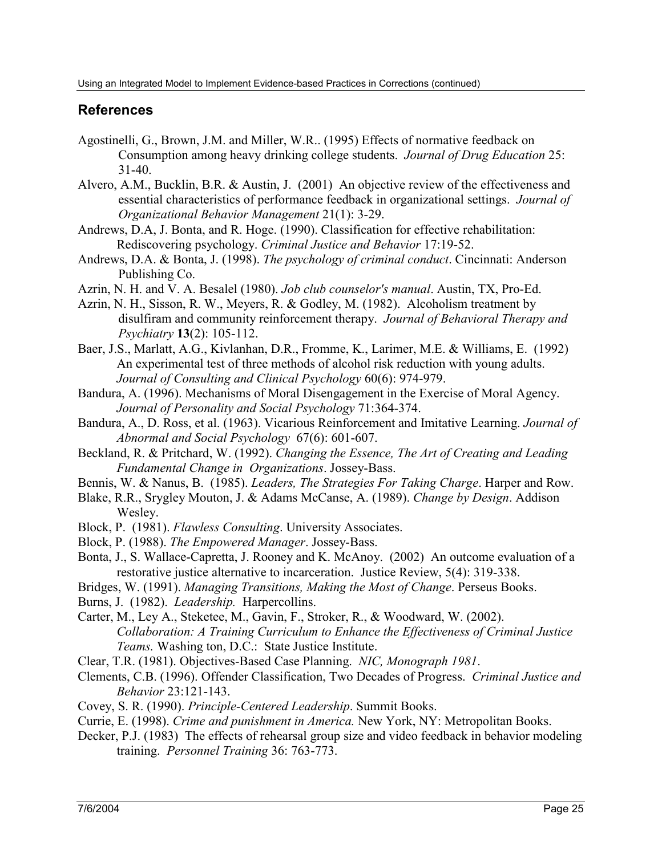# **References**

- Agostinelli, G., Brown, J.M. and Miller, W.R.. (1995) Effects of normative feedback on Consumption among heavy drinking college students. *Journal of Drug Education* 25: 31-40.
- Alvero, A.M., Bucklin, B.R. & Austin, J. (2001) An objective review of the effectiveness and essential characteristics of performance feedback in organizational settings. *Journal of Organizational Behavior Management* 21(1): 3-29.
- Andrews, D.A, J. Bonta, and R. Hoge. (1990). Classification for effective rehabilitation: Rediscovering psychology. *Criminal Justice and Behavior* 17:19-52.
- Andrews, D.A. & Bonta, J. (1998). *The psychology of criminal conduct*. Cincinnati: Anderson Publishing Co.
- Azrin, N. H. and V. A. Besalel (1980). *Job club counselor's manual*. Austin, TX, Pro-Ed.
- Azrin, N. H., Sisson, R. W., Meyers, R. & Godley, M. (1982). Alcoholism treatment by disulfiram and community reinforcement therapy. *Journal of Behavioral Therapy and Psychiatry* **13**(2): 105-112.
- Baer, J.S., Marlatt, A.G., Kivlanhan, D.R., Fromme, K., Larimer, M.E. & Williams, E. (1992) An experimental test of three methods of alcohol risk reduction with young adults. *Journal of Consulting and Clinical Psychology* 60(6): 974-979.
- Bandura, A. (1996). Mechanisms of Moral Disengagement in the Exercise of Moral Agency. *Journal of Personality and Social Psychology* 71:364-374.
- Bandura, A., D. Ross, et al. (1963). Vicarious Reinforcement and Imitative Learning. *Journal of Abnormal and Social Psychology* 67(6): 601-607.
- Beckland, R. & Pritchard, W. (1992). *Changing the Essence, The Art of Creating and Leading Fundamental Change in Organizations*. Jossey-Bass.
- Bennis, W. & Nanus, B. (1985). *Leaders, The Strategies For Taking Charge*. Harper and Row.
- Blake, R.R., Srygley Mouton, J. & Adams McCanse, A. (1989). *Change by Design*. Addison Wesley.
- Block, P. (1981). *Flawless Consulting*. University Associates.
- Block, P. (1988). *The Empowered Manager*. Jossey-Bass.
- Bonta, J., S. Wallace-Capretta, J. Rooney and K. McAnoy. (2002) An outcome evaluation of a restorative justice alternative to incarceration. Justice Review, 5(4): 319-338.
- Bridges, W. (1991). *Managing Transitions, Making the Most of Change*. Perseus Books.
- Burns, J. (1982). *Leadership.* Harpercollins.
- Carter, M., Ley A., Steketee, M., Gavin, F., Stroker, R., & Woodward, W. (2002). *Collaboration: A Training Curriculum to Enhance the Effectiveness of Criminal Justice Teams.* Washing ton, D.C.: State Justice Institute.
- Clear, T.R. (1981). Objectives-Based Case Planning. *NIC, Monograph 1981*.
- Clements, C.B. (1996). Offender Classification, Two Decades of Progress. *Criminal Justice and Behavior* 23:121-143.
- Covey, S. R. (1990). *Principle-Centered Leadership*. Summit Books.
- Currie, E. (1998). *Crime and punishment in America.* New York, NY: Metropolitan Books.
- Decker, P.J. (1983) The effects of rehearsal group size and video feedback in behavior modeling training. *Personnel Training* 36: 763-773.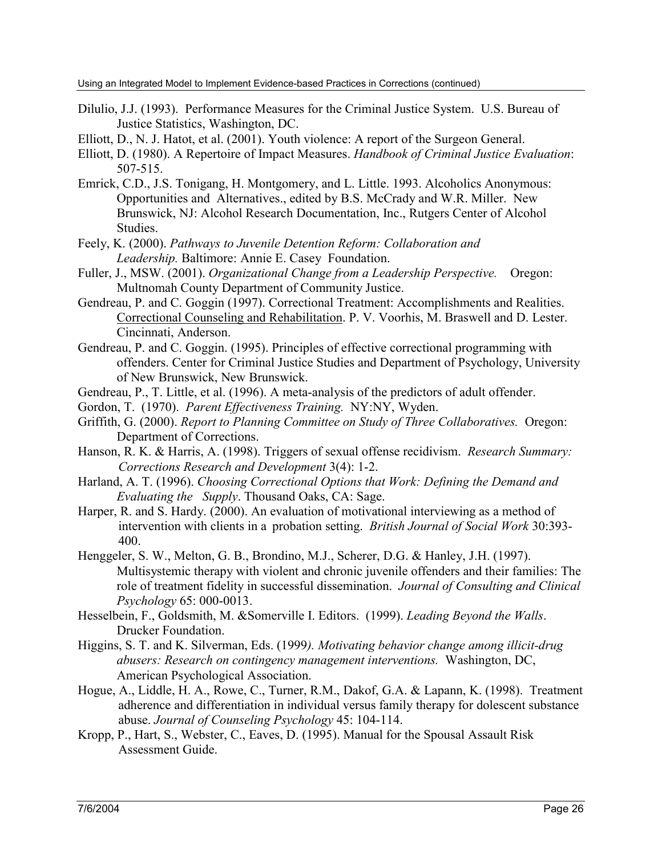Using an Integrated Model to Implement Evidence-based Practices in Corrections (continued)

- Dilulio, J.J. (1993). Performance Measures for the Criminal Justice System. U.S. Bureau of Justice Statistics, Washington, DC.
- Elliott, D., N. J. Hatot, et al. (2001). Youth violence: A report of the Surgeon General.

Elliott, D. (1980). A Repertoire of Impact Measures. *Handbook of Criminal Justice Evaluation*: 507-515.

- Emrick, C.D., J.S. Tonigang, H. Montgomery, and L. Little. 1993. Alcoholics Anonymous: Opportunities and Alternatives., edited by B.S. McCrady and W.R. Miller. New Brunswick, NJ: Alcohol Research Documentation, Inc., Rutgers Center of Alcohol Studies.
- Feely, K. (2000). *Pathways to Juvenile Detention Reform: Collaboration and Leadership.* Baltimore: Annie E. Casey Foundation.
- Fuller, J., MSW. (2001). *Organizational Change from a Leadership Perspective.* Oregon: Multnomah County Department of Community Justice.
- Gendreau, P. and C. Goggin (1997). Correctional Treatment: Accomplishments and Realities. Correctional Counseling and Rehabilitation. P. V. Voorhis, M. Braswell and D. Lester. Cincinnati, Anderson.
- Gendreau, P. and C. Goggin. (1995). Principles of effective correctional programming with offenders. Center for Criminal Justice Studies and Department of Psychology, University of New Brunswick, New Brunswick.
- Gendreau, P., T. Little, et al. (1996). A meta-analysis of the predictors of adult offender.
- Gordon, T. (1970). *Parent Effectiveness Training.* NY:NY, Wyden.
- Griffith, G. (2000). *Report to Planning Committee on Study of Three Collaboratives.* Oregon: Department of Corrections.
- Hanson, R. K. & Harris, A. (1998). Triggers of sexual offense recidivism. *Research Summary: Corrections Research and Development* 3(4): 1-2.
- Harland, A. T. (1996). *Choosing Correctional Options that Work: Defining the Demand and Evaluating the Supply*. Thousand Oaks, CA: Sage.
- Harper, R. and S. Hardy. (2000). An evaluation of motivational interviewing as a method of intervention with clients in a probation setting. *British Journal of Social Work* 30:393- 400.
- Henggeler, S. W., Melton, G. B., Brondino, M.J., Scherer, D.G. & Hanley, J.H. (1997). Multisystemic therapy with violent and chronic juvenile offenders and their families: The role of treatment fidelity in successful dissemination. *Journal of Consulting and Clinical Psychology* 65: 000-0013.
- Hesselbein, F., Goldsmith, M. &Somerville I. Editors. (1999). *Leading Beyond the Walls*. Drucker Foundation.
- Higgins, S. T. and K. Silverman, Eds. (1999*). Motivating behavior change among illicit-drug abusers: Research on contingency management interventions.* Washington, DC, American Psychological Association.
- Hogue, A., Liddle, H. A., Rowe, C., Turner, R.M., Dakof, G.A. & Lapann, K. (1998). Treatment adherence and differentiation in individual versus family therapy for dolescent substance abuse. *Journal of Counseling Psychology* 45: 104-114.
- Kropp, P., Hart, S., Webster, C., Eaves, D. (1995). Manual for the Spousal Assault Risk Assessment Guide.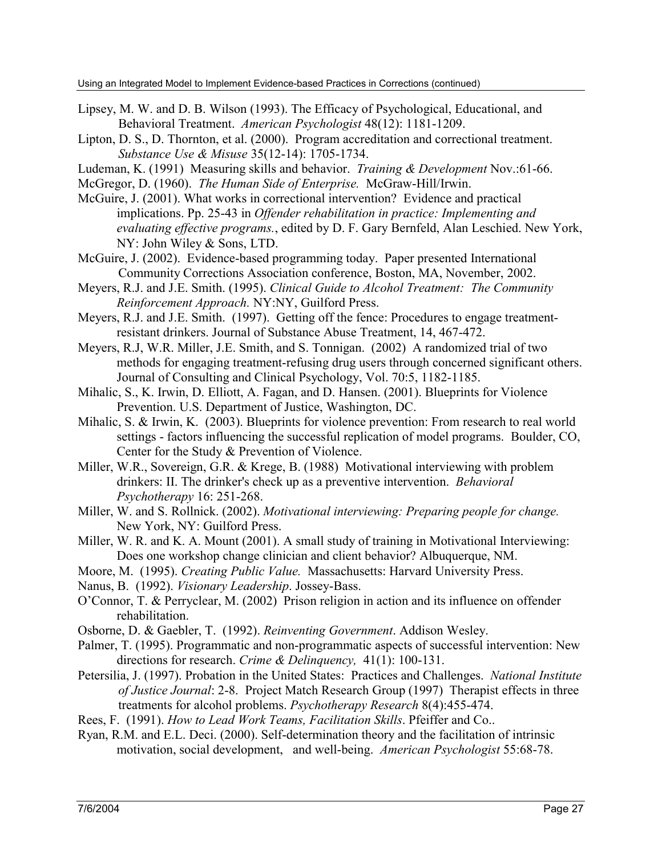Using an Integrated Model to Implement Evidence-based Practices in Corrections (continued)

Lipsey, M. W. and D. B. Wilson (1993). The Efficacy of Psychological, Educational, and Behavioral Treatment. *American Psychologist* 48(12): 1181-1209.

- Lipton, D. S., D. Thornton, et al. (2000). Program accreditation and correctional treatment. *Substance Use & Misuse* 35(12-14): 1705-1734.
- Ludeman, K. (1991) Measuring skills and behavior. *Training & Development* Nov.:61-66.
- McGregor, D. (1960). *The Human Side of Enterprise.* McGraw-Hill/Irwin.
- McGuire, J. (2001). What works in correctional intervention? Evidence and practical implications. Pp. 25-43 in *Offender rehabilitation in practice: Implementing and evaluating effective programs.*, edited by D. F. Gary Bernfeld, Alan Leschied. New York, NY: John Wiley & Sons, LTD.
- McGuire, J. (2002). Evidence-based programming today. Paper presented International Community Corrections Association conference, Boston, MA, November, 2002.
- Meyers, R.J. and J.E. Smith. (1995). *Clinical Guide to Alcohol Treatment: The Community Reinforcement Approach.* NY:NY, Guilford Press.
- Meyers, R.J. and J.E. Smith. (1997). Getting off the fence: Procedures to engage treatmentresistant drinkers. Journal of Substance Abuse Treatment, 14, 467-472.
- Meyers, R.J, W.R. Miller, J.E. Smith, and S. Tonnigan. (2002) A randomized trial of two methods for engaging treatment-refusing drug users through concerned significant others. Journal of Consulting and Clinical Psychology, Vol. 70:5, 1182-1185.
- Mihalic, S., K. Irwin, D. Elliott, A. Fagan, and D. Hansen. (2001). Blueprints for Violence Prevention. U.S. Department of Justice, Washington, DC.
- Mihalic, S. & Irwin, K. (2003). Blueprints for violence prevention: From research to real world settings - factors influencing the successful replication of model programs. Boulder, CO, Center for the Study & Prevention of Violence.
- Miller, W.R., Sovereign, G.R. & Krege, B. (1988) Motivational interviewing with problem drinkers: II. The drinker's check up as a preventive intervention. *Behavioral Psychotherapy* 16: 251-268.
- Miller, W. and S. Rollnick. (2002). *Motivational interviewing: Preparing people for change.* New York, NY: Guilford Press.
- Miller, W. R. and K. A. Mount (2001). A small study of training in Motivational Interviewing: Does one workshop change clinician and client behavior? Albuquerque, NM.
- Moore, M. (1995). *Creating Public Value.* Massachusetts: Harvard University Press.
- Nanus, B. (1992). *Visionary Leadership*. Jossey-Bass.
- O'Connor, T. & Perryclear, M. (2002) Prison religion in action and its influence on offender rehabilitation.
- Osborne, D. & Gaebler, T. (1992). *Reinventing Government*. Addison Wesley.
- Palmer, T. (1995). Programmatic and non-programmatic aspects of successful intervention: New directions for research. *Crime & Delinquency,* 41(1): 100-131.
- Petersilia, J. (1997). Probation in the United States: Practices and Challenges. *National Institute of Justice Journal*: 2-8. Project Match Research Group (1997) Therapist effects in three treatments for alcohol problems. *Psychotherapy Research* 8(4):455-474.
- Rees, F. (1991). *How to Lead Work Teams, Facilitation Skills*. Pfeiffer and Co..
- Ryan, R.M. and E.L. Deci. (2000). Self-determination theory and the facilitation of intrinsic motivation, social development, and well-being. *American Psychologist* 55:68-78.